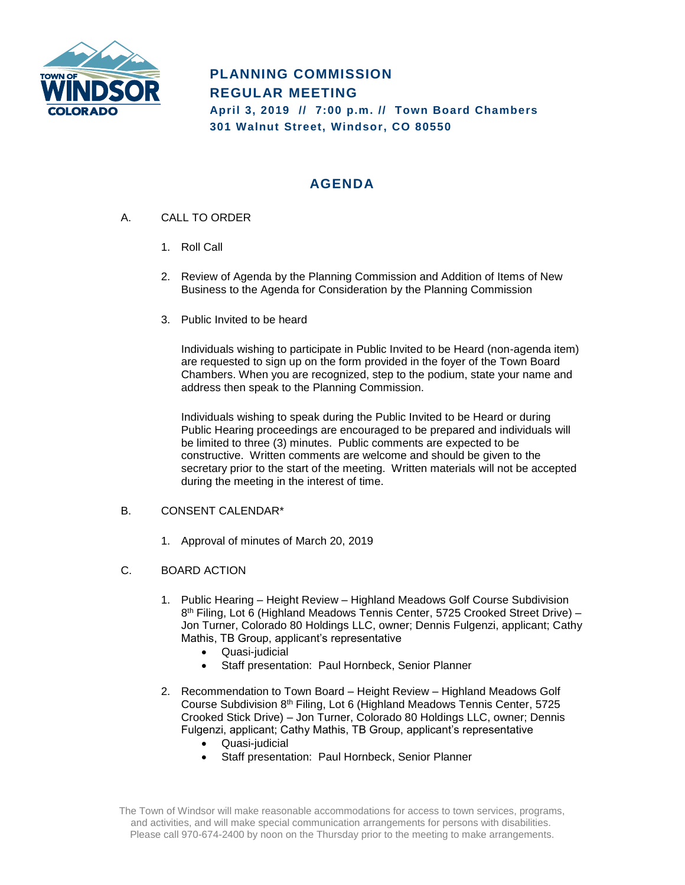

# **PLANNING COMMISSION REGULAR MEETING April 3, 2019 // 7:00 p.m. // Town Board Chambers 301 Walnut Street, Windsor, CO 80550**

# **AGENDA**

- A. CALL TO ORDER
	- 1. Roll Call
	- 2. Review of Agenda by the Planning Commission and Addition of Items of New Business to the Agenda for Consideration by the Planning Commission
	- 3. Public Invited to be heard

Individuals wishing to participate in Public Invited to be Heard (non-agenda item) are requested to sign up on the form provided in the foyer of the Town Board Chambers. When you are recognized, step to the podium, state your name and address then speak to the Planning Commission.

Individuals wishing to speak during the Public Invited to be Heard or during Public Hearing proceedings are encouraged to be prepared and individuals will be limited to three (3) minutes. Public comments are expected to be constructive. Written comments are welcome and should be given to the secretary prior to the start of the meeting. Written materials will not be accepted during the meeting in the interest of time.

### B. CONSENT CALENDAR\*

- 1. Approval of minutes of March 20, 2019
- C. BOARD ACTION
	- 1. Public Hearing Height Review Highland Meadows Golf Course Subdivision 8<sup>th</sup> Filing, Lot 6 (Highland Meadows Tennis Center, 5725 Crooked Street Drive) -Jon Turner, Colorado 80 Holdings LLC, owner; Dennis Fulgenzi, applicant; Cathy Mathis, TB Group, applicant's representative
		- Quasi-judicial
		- Staff presentation: Paul Hornbeck, Senior Planner
	- 2. Recommendation to Town Board Height Review Highland Meadows Golf Course Subdivision 8th Filing, Lot 6 (Highland Meadows Tennis Center, 5725 Crooked Stick Drive) – Jon Turner, Colorado 80 Holdings LLC, owner; Dennis Fulgenzi, applicant; Cathy Mathis, TB Group, applicant's representative
		- Quasi-judicial
		- Staff presentation: Paul Hornbeck, Senior Planner

The Town of Windsor will make reasonable accommodations for access to town services, programs, and activities, and will make special communication arrangements for persons with disabilities. Please call 970-674-2400 by noon on the Thursday prior to the meeting to make arrangements.